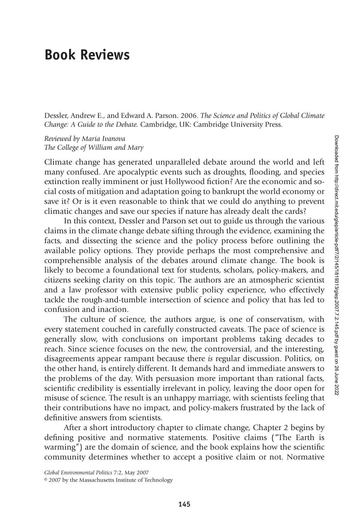## **Book Reviews**

Dessler, Andrew E., and Edward A. Parson. 2006. *The Science and Politics of Global Climate Change: A Guide to the Debate.* Cambridge, UK: Cambridge University Press.

*Reviewed by Maria Ivanova The College of William and Mary*

Climate change has generated unparalleled debate around the world and left many confused. Are apocalyptic events such as droughts, flooding, and species extinction really imminent or just Hollywood fiction? Are the economic and social costs of mitigation and adaptation going to bankrupt the world economy or save it? Or is it even reasonable to think that we could do anything to prevent climatic changes and save our species if nature has already dealt the cards?

In this context, Dessler and Parson set out to guide us through the various claims in the climate change debate sifting through the evidence, examining the facts, and dissecting the science and the policy process before outlining the available policy options. They provide perhaps the most comprehensive and comprehensible analysis of the debates around climate change. The book is likely to become a foundational text for students, scholars, policy-makers, and citizens seeking clarity on this topic. The authors are an atmospheric scientist and a law professor with extensive public policy experience, who effectively tackle the rough-and-tumble intersection of science and policy that has led to confusion and inaction.

The culture of science, the authors argue, is one of conservatism, with every statement couched in carefully constructed caveats. The pace of science is generally slow, with conclusions on important problems taking decades to reach. Since science focuses on the new, the controversial, and the interesting, disagreements appear rampant because there *is* regular discussion. Politics, on the other hand, is entirely different. It demands hard and immediate answers to the problems of the day. With persuasion more important than rational facts, scientific credibility is essentially irrelevant in policy, leaving the door open for misuse of science. The result is an unhappy marriage, with scientists feeling that their contributions have no impact, and policy-makers frustrated by the lack of definitive answers from scientists.

After a short introductory chapter to climate change, Chapter 2 begins by defining positive and normative statements. Positive claims ("The Earth is warming") are the domain of science, and the book explains how the scientific community determines whether to accept a positive claim or not. Normative

*Global Environmental Politics* 7:2, May 2007

<sup>© 2007</sup> by the Massachusetts Institute of Technology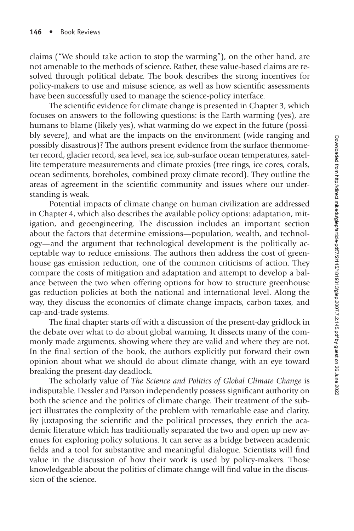claims ("We should take action to stop the warming"), on the other hand, are not amenable to the methods of science. Rather, these value-based claims are resolved through political debate. The book describes the strong incentives for policy-makers to use and misuse science, as well as how scientific assessments have been successfully used to manage the science-policy interface.

The scientific evidence for climate change is presented in Chapter 3, which focuses on answers to the following questions: is the Earth warming (yes), are humans to blame (likely yes), what warming do we expect in the future (possibly severe), and what are the impacts on the environment (wide ranging and possibly disastrous)? The authors present evidence from the surface thermometer record, glacier record, sea level, sea ice, sub-surface ocean temperatures, satellite temperature measurements and climate proxies (tree rings, ice cores, corals, ocean sediments, boreholes, combined proxy climate record). They outline the areas of agreement in the scientific community and issues where our understanding is weak.

Potential impacts of climate change on human civilization are addressed in Chapter 4, which also describes the available policy options: adaptation, mitigation, and geoengineering. The discussion includes an important section about the factors that determine emissions—population, wealth, and technology—and the argument that technological development is the politically acceptable way to reduce emissions. The authors then address the cost of greenhouse gas emission reduction, one of the common criticisms of action. They compare the costs of mitigation and adaptation and attempt to develop a balance between the two when offering options for how to structure greenhouse gas reduction policies at both the national and international level. Along the way, they discuss the economics of climate change impacts, carbon taxes, and cap-and-trade systems.

The final chapter starts off with a discussion of the present-day gridlock in the debate over what to do about global warming. It dissects many of the commonly made arguments, showing where they are valid and where they are not. In the final section of the book, the authors explicitly put forward their own opinion about what we should do about climate change, with an eye toward breaking the present-day deadlock.

The scholarly value of *The Science and Politics of Global Climate Change* is indisputable. Dessler and Parson independently possess significant authority on both the science and the politics of climate change. Their treatment of the subject illustrates the complexity of the problem with remarkable ease and clarity. By juxtaposing the scientific and the political processes, they enrich the aca-demic literature which has traditionally separated the two and open up new avenues for exploring policy solutions. It can serve as a bridge between academic fields and a tool for substantive and meaningful dialogue. Scientists will find value in the discussion of how their work is used by policy-makers. Those knowledgeable about the politics of climate change will find value in the discussion of the science.